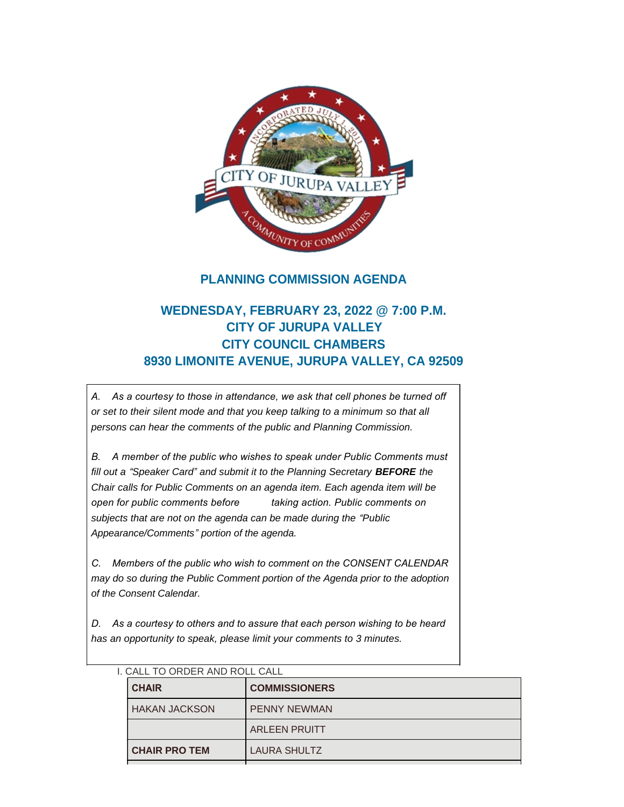

## **PLANNING COMMISSION AGENDA**

# **WEDNESDAY, FEBRUARY 23, 2022 @ 7:00 P.M. CITY OF JURUPA VALLEY CITY COUNCIL CHAMBERS 8930 LIMONITE AVENUE, JURUPA VALLEY, CA 92509**

*A. As a courtesy to those in attendance, we ask that cell phones be turned off or set to their silent mode and that you keep talking to a minimum so that all persons can hear the comments of the public and Planning Commission.*

*B. A member of the public who wishes to speak under Public Comments must fill out a "Speaker Card" and submit it to the Planning Secretary BEFORE the Chair calls for Public Comments on an agenda item. Each agenda item will be open for public comments before taking action. Public comments on subjects that are not on the agenda can be made during the "Public Appearance/Comments" portion of the agenda.*

*C. Members of the public who wish to comment on the CONSENT CALENDAR may do so during the Public Comment portion of the Agenda prior to the adoption of the Consent Calendar.*

*D. As a courtesy to others and to assure that each person wishing to be heard has an opportunity to speak, please limit your comments to 3 minutes.*

| <b>CHAIR</b>    | <b>COMMISSIONERS</b> |
|-----------------|----------------------|
| I HAKAN JACKSON | <b>PENNY NEWMAN</b>  |
|                 | <b>ARLEEN PRUITT</b> |
| I CHAIR PRO TEM | LAURA SHULTZ         |

|  | I. CALL TO ORDER AND ROLL CALL |  |  |  |
|--|--------------------------------|--|--|--|
|  |                                |  |  |  |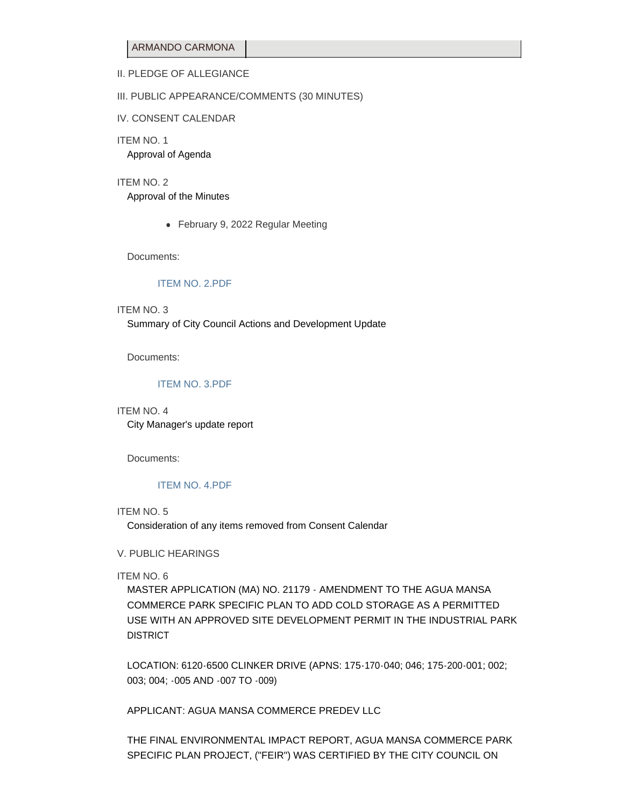ARMANDO CARMONA

## II. PLEDGE OF ALLEGIANCE

#### III. PUBLIC APPEARANCE/COMMENTS (30 MINUTES)

IV. CONSENT CALENDAR

ITEM NO. 1 Approval of Agenda

ITEM NO. 2

Approval of the Minutes

• February 9, 2022 Regular Meeting

Documents:

#### [ITEM NO. 2.PDF](https://www.jurupavalley.org/AgendaCenter/ViewFile/Item/186?fileID=473)

### ITEM NO. 3

Summary of City Council Actions and Development Update

Documents:

#### [ITEM NO. 3.PDF](https://www.jurupavalley.org/AgendaCenter/ViewFile/Item/187?fileID=474)

#### ITEM NO. 4

City Manager's update report

Documents:

## [ITEM NO. 4.PDF](https://www.jurupavalley.org/AgendaCenter/ViewFile/Item/188?fileID=475)

#### ITEM NO. 5

Consideration of any items removed from Consent Calendar

#### V. PUBLIC HEARINGS

ITEM NO. 6

MASTER APPLICATION (MA) NO. 21179 - AMENDMENT TO THE AGUA MANSA COMMERCE PARK SPECIFIC PLAN TO ADD COLD STORAGE AS A PERMITTED USE WITH AN APPROVED SITE DEVELOPMENT PERMIT IN THE INDUSTRIAL PARK DISTRICT

LOCATION: 6120-6500 CLINKER DRIVE (APNS: 175-170-040; 046; 175-200-001; 002; 003; 004; -005 AND -007 TO -009)

APPLICANT: AGUA MANSA COMMERCE PREDEV LLC

THE FINAL ENVIRONMENTAL IMPACT REPORT, AGUA MANSA COMMERCE PARK SPECIFIC PLAN PROJECT, ("FEIR") WAS CERTIFIED BY THE CITY COUNCIL ON